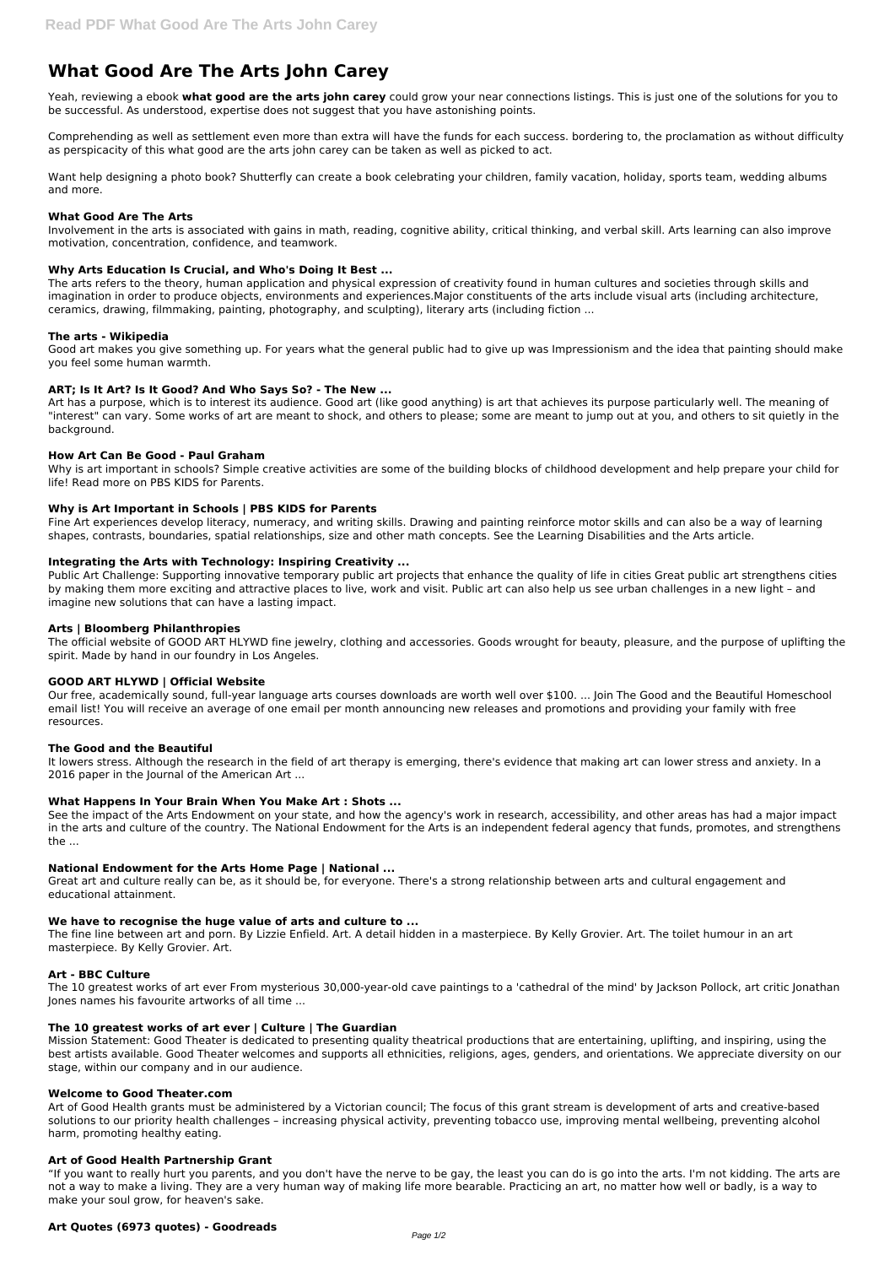# **What Good Are The Arts John Carey**

Yeah, reviewing a ebook **what good are the arts john carey** could grow your near connections listings. This is just one of the solutions for you to be successful. As understood, expertise does not suggest that you have astonishing points.

Comprehending as well as settlement even more than extra will have the funds for each success. bordering to, the proclamation as without difficulty as perspicacity of this what good are the arts john carey can be taken as well as picked to act.

Want help designing a photo book? Shutterfly can create a book celebrating your children, family vacation, holiday, sports team, wedding albums and more.

## **What Good Are The Arts**

Involvement in the arts is associated with gains in math, reading, cognitive ability, critical thinking, and verbal skill. Arts learning can also improve motivation, concentration, confidence, and teamwork.

# **Why Arts Education Is Crucial, and Who's Doing It Best ...**

The arts refers to the theory, human application and physical expression of creativity found in human cultures and societies through skills and imagination in order to produce objects, environments and experiences.Major constituents of the arts include visual arts (including architecture, ceramics, drawing, filmmaking, painting, photography, and sculpting), literary arts (including fiction ...

# **The arts - Wikipedia**

Public Art Challenge: Supporting innovative temporary public art projects that enhance the quality of life in cities Great public art strengthens cities by making them more exciting and attractive places to live, work and visit. Public art can also help us see urban challenges in a new light – and imagine new solutions that can have a lasting impact.

Good art makes you give something up. For years what the general public had to give up was Impressionism and the idea that painting should make you feel some human warmth.

# **ART; Is It Art? Is It Good? And Who Says So? - The New ...**

Art has a purpose, which is to interest its audience. Good art (like good anything) is art that achieves its purpose particularly well. The meaning of "interest" can vary. Some works of art are meant to shock, and others to please; some are meant to jump out at you, and others to sit quietly in the background.

## **How Art Can Be Good - Paul Graham**

Why is art important in schools? Simple creative activities are some of the building blocks of childhood development and help prepare your child for life! Read more on PBS KIDS for Parents.

# **Why is Art Important in Schools | PBS KIDS for Parents**

Fine Art experiences develop literacy, numeracy, and writing skills. Drawing and painting reinforce motor skills and can also be a way of learning shapes, contrasts, boundaries, spatial relationships, size and other math concepts. See the Learning Disabilities and the Arts article.

# **Integrating the Arts with Technology: Inspiring Creativity ...**

# **Arts | Bloomberg Philanthropies**

The official website of GOOD ART HLYWD fine jewelry, clothing and accessories. Goods wrought for beauty, pleasure, and the purpose of uplifting the spirit. Made by hand in our foundry in Los Angeles.

# **GOOD ART HLYWD | Official Website**

Our free, academically sound, full-year language arts courses downloads are worth well over \$100. ... Join The Good and the Beautiful Homeschool email list! You will receive an average of one email per month announcing new releases and promotions and providing your family with free resources.

#### **The Good and the Beautiful**

It lowers stress. Although the research in the field of art therapy is emerging, there's evidence that making art can lower stress and anxiety. In a 2016 paper in the Journal of the American Art ...

#### **What Happens In Your Brain When You Make Art : Shots ...**

See the impact of the Arts Endowment on your state, and how the agency's work in research, accessibility, and other areas has had a major impact in the arts and culture of the country. The National Endowment for the Arts is an independent federal agency that funds, promotes, and strengthens the ...

#### **National Endowment for the Arts Home Page | National ...**

Great art and culture really can be, as it should be, for everyone. There's a strong relationship between arts and cultural engagement and educational attainment.

# **We have to recognise the huge value of arts and culture to ...**

The fine line between art and porn. By Lizzie Enfield. Art. A detail hidden in a masterpiece. By Kelly Grovier. Art. The toilet humour in an art masterpiece. By Kelly Grovier. Art.

# **Art - BBC Culture**

The 10 greatest works of art ever From mysterious 30,000-year-old cave paintings to a 'cathedral of the mind' by Jackson Pollock, art critic Jonathan Jones names his favourite artworks of all time ...

## **The 10 greatest works of art ever | Culture | The Guardian**

Mission Statement: Good Theater is dedicated to presenting quality theatrical productions that are entertaining, uplifting, and inspiring, using the best artists available. Good Theater welcomes and supports all ethnicities, religions, ages, genders, and orientations. We appreciate diversity on our stage, within our company and in our audience.

#### **Welcome to Good Theater.com**

Art of Good Health grants must be administered by a Victorian council; The focus of this grant stream is development of arts and creative-based solutions to our priority health challenges – increasing physical activity, preventing tobacco use, improving mental wellbeing, preventing alcohol harm, promoting healthy eating.

## **Art of Good Health Partnership Grant**

"If you want to really hurt you parents, and you don't have the nerve to be gay, the least you can do is go into the arts. I'm not kidding. The arts are not a way to make a living. They are a very human way of making life more bearable. Practicing an art, no matter how well or badly, is a way to make your soul grow, for heaven's sake.

# **Art Quotes (6973 quotes) - Goodreads**